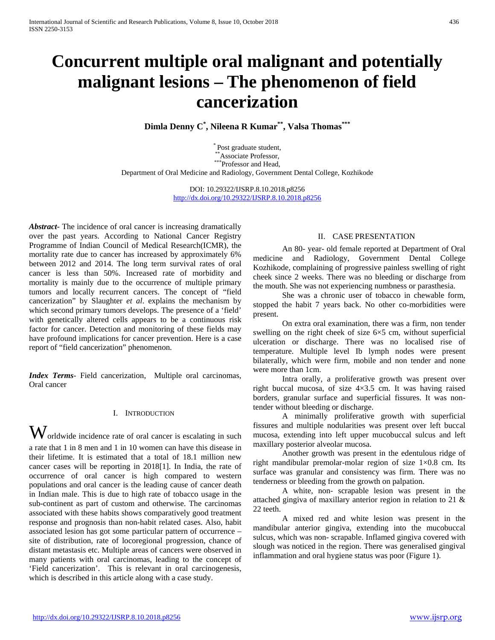# **Concurrent multiple oral malignant and potentially malignant lesions – The phenomenon of field cancerization**

**Dimla Denny C\* , Nileena R Kumar\*\*, Valsa Thomas\*\*\***

\* Post graduate student, \*\*Associate Professor, \*\*\*Professor and Head, Department of Oral Medicine and Radiology, Government Dental College, Kozhikode

> DOI: 10.29322/IJSRP.8.10.2018.p8256 <http://dx.doi.org/10.29322/IJSRP.8.10.2018.p8256>

*Abstract***-** The incidence of oral cancer is increasing dramatically over the past years. According to National Cancer Registry Programme of Indian Council of Medical Research(ICMR), the mortality rate due to cancer has increased by approximately 6% between 2012 and 2014. The long term survival rates of oral cancer is less than 50%. Increased rate of morbidity and mortality is mainly due to the occurrence of multiple primary tumors and locally recurrent cancers. The concept of "field cancerization" by Slaughter *et al*. explains the mechanism by which second primary tumors develops. The presence of a 'field' with genetically altered cells appears to be a continuous risk factor for cancer. Detection and monitoring of these fields may have profound implications for cancer prevention. Here is a case report of "field cancerization" phenomenon.

*Index Terms*- Field cancerization, Multiple oral carcinomas, Oral cancer

### I. INTRODUCTION

 $\mathbf W$ orldwide incidence rate of oral cancer is escalating in such a rate that 1 in 8 men and 1 in 10 women can have this disease in their lifetime. It is estimated that a total of 18.1 million new cancer cases will be reporting in 2018[1]. In India, the rate of occurrence of oral cancer is high compared to western populations and oral cancer is the leading cause of cancer death in Indian male. This is due to high rate of tobacco usage in the sub-continent as part of custom and otherwise. The carcinomas associated with these habits shows comparatively good treatment response and prognosis than non-habit related cases. Also, habit associated lesion has got some particular pattern of occurrence – site of distribution, rate of locoregional progression, chance of distant metastasis etc. Multiple areas of cancers were observed in many patients with oral carcinomas, leading to the concept of 'Field cancerization'. This is relevant in oral carcinogenesis, which is described in this article along with a case study.

# II. CASE PRESENTATION

An 80- year- old female reported at Department of Oral medicine and Radiology, Government Dental College Kozhikode, complaining of progressive painless swelling of right cheek since 2 weeks. There was no bleeding or discharge from the mouth. She was not experiencing numbness or parasthesia.

She was a chronic user of tobacco in chewable form, stopped the habit 7 years back. No other co-morbidities were present.

On extra oral examination, there was a firm, non tender swelling on the right cheek of size  $6\times5$  cm, without superficial ulceration or discharge. There was no localised rise of temperature. Multiple level Ib lymph nodes were present bilaterally, which were firm, mobile and non tender and none were more than 1cm.

Intra orally, a proliferative growth was present over right buccal mucosa, of size 4×3.5 cm. It was having raised borders, granular surface and superficial fissures. It was nontender without bleeding or discharge.

A minimally proliferative growth with superficial fissures and multiple nodularities was present over left buccal mucosa, extending into left upper mucobuccal sulcus and left maxillary posterior alveolar mucosa.

Another growth was present in the edentulous ridge of right mandibular premolar-molar region of size 1×0.8 cm. Its surface was granular and consistency was firm. There was no tenderness or bleeding from the growth on palpation.

A white, non- scrapable lesion was present in the attached gingiva of maxillary anterior region in relation to 21 & 22 teeth.

A mixed red and white lesion was present in the mandibular anterior gingiva, extending into the mucobuccal sulcus, which was non- scrapable. Inflamed gingiva covered with slough was noticed in the region. There was generalised gingival inflammation and oral hygiene status was poor (Figure 1).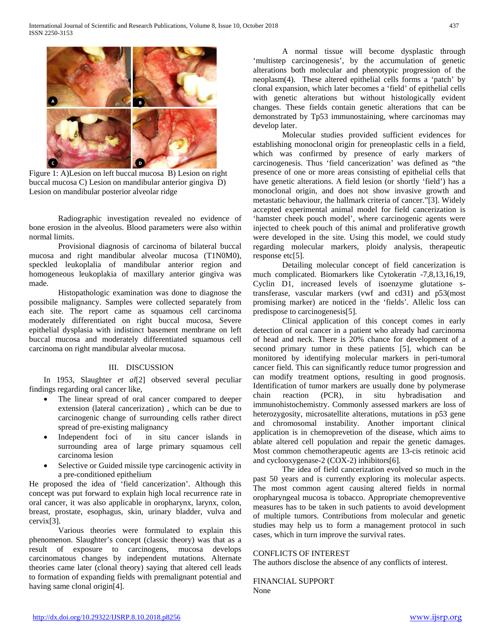

Figure 1: A)Lesion on left buccal mucosa B) Lesion on right buccal mucosa C) Lesion on mandibular anterior gingiva D) Lesion on mandibular posterior alveolar ridge

Radiographic investigation revealed no evidence of bone erosion in the alveolus. Blood parameters were also within normal limits.

Provisional diagnosis of carcinoma of bilateral buccal mucosa and right mandibular alveolar mucosa (T1N0M0), speckled leukoplalia of mandibular anterior region and homogeneous leukoplakia of maxillary anterior gingiva was made.

Histopathologic examination was done to diagnose the possibile malignancy. Samples were collected separately from each site. The report came as squamous cell carcinoma moderately differentiated on right buccal mucosa, Severe epithelial dysplasia with indistinct basement membrane on left buccal mucosa and moderately differentiated squamous cell carcinoma on right mandibular alveolar mucosa.

## III. DISCUSSION

In 1953, Slaughter *et al*[2] observed several peculiar findings regarding oral cancer like,

- The linear spread of oral cancer compared to deeper extension (lateral cancerization) , which can be due to carcinogenic change of surrounding cells rather direct spread of pre-existing malignancy
- Independent foci of in situ cancer islands in surrounding area of large primary squamous cell carcinoma lesion
- Selective or Guided missile type carcinogenic activity in a pre-conditioned epithelium

He proposed the idea of 'field cancerization'. Although this concept was put forward to explain high local recurrence rate in oral cancer, it was also applicable in oropharynx, larynx, colon, breast, prostate, esophagus, skin, urinary bladder, vulva and cervix[3].

Various theories were formulated to explain this phenomenon. Slaughter's concept (classic theory) was that as a result of exposure to carcinogens, mucosa develops carcinomatous changes by independent mutations. Alternate theories came later (clonal theory) saying that altered cell leads to formation of expanding fields with premalignant potential and having same clonal origin[4].

A normal tissue will become dysplastic through 'multistep carcinogenesis', by the accumulation of genetic alterations both molecular and phenotypic progression of the neoplasm(4). These altered epithelial cells forms a 'patch' by clonal expansion, which later becomes a 'field' of epithelial cells with genetic alterations but without histologically evident changes. These fields contain genetic alterations that can be demonstrated by Tp53 immunostaining, where carcinomas may develop later.

Molecular studies provided sufficient evidences for establishing monoclonal origin for preneoplastic cells in a field, which was confirmed by presence of early markers of carcinogenesis. Thus 'field cancerization' was defined as "the presence of one or more areas consisting of epithelial cells that have genetic alterations. A field lesion (or shortly 'field') has a monoclonal origin, and does not show invasive growth and metastatic behaviour, the hallmark criteria of cancer."[3]. Widely accepted experimental animal model for field cancerization is 'hamster cheek pouch model', where carcinogenic agents were injected to cheek pouch of this animal and proliferative growth were developed in the site. Using this model, we could study regarding molecular markers, ploidy analysis, therapeutic response etc[5].

Detailing molecular concept of field cancerization is much complicated. Biomarkers like Cytokeratin -7,8,13,16,19, Cyclin D1, increased levels of isoenzyme glutatione stransferase, vascular markers (vwf and cd31) and p53(most promising marker) are noticed in the 'fields'. Allelic loss can predispose to carcinogenesis[5].

Clinical application of this concept comes in early detection of oral cancer in a patient who already had carcinoma of head and neck. There is 20% chance for development of a second primary tumor in these patients [5], which can be monitored by identifying molecular markers in peri-tumoral cancer field. This can significantly reduce tumor progression and can modify treatment options, resulting in good prognosis. Identification of tumor markers are usually done by polymerase chain reaction (PCR), in situ hybradisation and immunohistochemistry. Commonly assessed markers are loss of heterozygosity, microsatellite alterations, mutations in p53 gene and chromosomal instability. Another important clinical application is in chemoprevetion of the disease, which aims to ablate altered cell population and repair the genetic damages. Most common chemotherapeutic agents are 13-cis retinoic acid and cyclooxygenase-2 (COX-2) inhibitors[6].

The idea of field cancerization evolved so much in the past 50 years and is currently exploring its molecular aspects. The most common agent causing altered fields in normal oropharyngeal mucosa is tobacco. Appropriate chemopreventive measures has to be taken in such patients to avoid development of multiple tumors. Contributions from molecular and genetic studies may help us to form a management protocol in such cases, which in turn improve the survival rates.

# CONFLICTS OF INTEREST

The authors disclose the absence of any conflicts of interest.

FINANCIAL SUPPORT

None